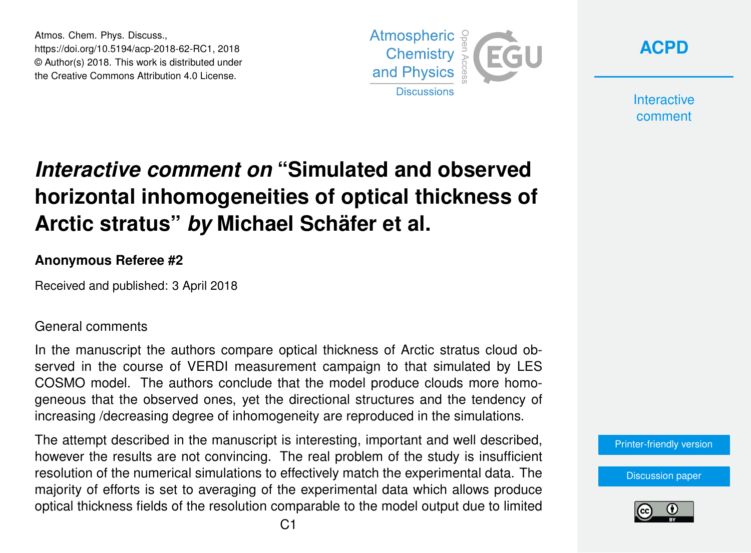Atmos. Chem. Phys. Discuss., https://doi.org/10.5194/acp-2018-62-RC1, 2018 © Author(s) 2018. This work is distributed under the Creative Commons Attribution 4.0 License.





**Interactive** comment

## *Interactive comment on* **"Simulated and observed horizontal inhomogeneities of optical thickness of Arctic stratus"** *by* **Michael Schäfer et al.**

## **Anonymous Referee #2**

Received and published: 3 April 2018

## General comments

In the manuscript the authors compare optical thickness of Arctic stratus cloud observed in the course of VERDI measurement campaign to that simulated by LES COSMO model. The authors conclude that the model produce clouds more homogeneous that the observed ones, yet the directional structures and the tendency of increasing /decreasing degree of inhomogeneity are reproduced in the simulations.

The attempt described in the manuscript is interesting, important and well described, however the results are not convincing. The real problem of the study is insufficient resolution of the numerical simulations to effectively match the experimental data. The majority of efforts is set to averaging of the experimental data which allows produce optical thickness fields of the resolution comparable to the model output due to limited

[Printer-friendly version](https://www.atmos-chem-phys-discuss.net/acp-2018-62/acp-2018-62-RC1-print.pdf)

[Discussion paper](https://www.atmos-chem-phys-discuss.net/acp-2018-62)

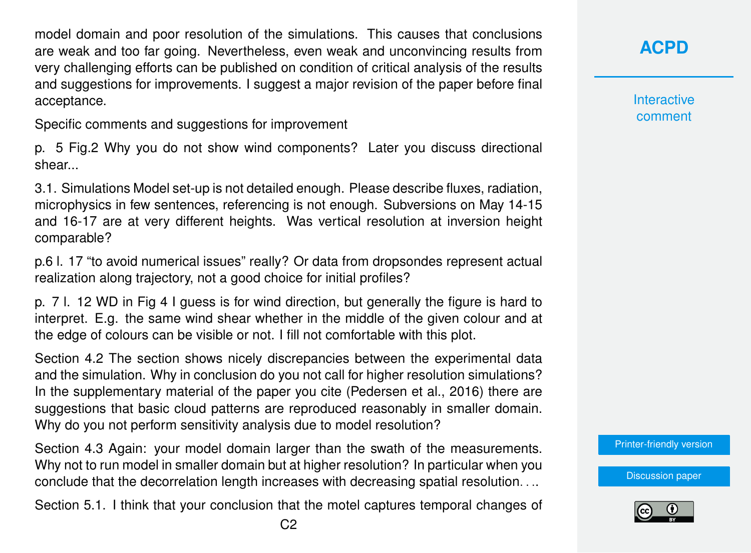model domain and poor resolution of the simulations. This causes that conclusions are weak and too far going. Nevertheless, even weak and unconvincing results from very challenging efforts can be published on condition of critical analysis of the results and suggestions for improvements. I suggest a major revision of the paper before final acceptance.

Specific comments and suggestions for improvement

p. 5 Fig.2 Why you do not show wind components? Later you discuss directional shear...

3.1. Simulations Model set-up is not detailed enough. Please describe fluxes, radiation, microphysics in few sentences, referencing is not enough. Subversions on May 14-15 and 16-17 are at very different heights. Was vertical resolution at inversion height comparable?

p.6 l. 17 "to avoid numerical issues" really? Or data from dropsondes represent actual realization along trajectory, not a good choice for initial profiles?

p. 7 l. 12 WD in Fig 4 I guess is for wind direction, but generally the figure is hard to interpret. E.g. the same wind shear whether in the middle of the given colour and at the edge of colours can be visible or not. I fill not comfortable with this plot.

Section 4.2 The section shows nicely discrepancies between the experimental data and the simulation. Why in conclusion do you not call for higher resolution simulations? In the supplementary material of the paper you cite (Pedersen et al., 2016) there are suggestions that basic cloud patterns are reproduced reasonably in smaller domain. Why do you not perform sensitivity analysis due to model resolution?

Section 4.3 Again: your model domain larger than the swath of the measurements. Why not to run model in smaller domain but at higher resolution? In particular when you conclude that the decorrelation length increases with decreasing spatial resolution. . ..

Section 5.1. I think that your conclusion that the motel captures temporal changes of

**[ACPD](https://www.atmos-chem-phys-discuss.net/)**

**Interactive** comment

[Printer-friendly version](https://www.atmos-chem-phys-discuss.net/acp-2018-62/acp-2018-62-RC1-print.pdf)

[Discussion paper](https://www.atmos-chem-phys-discuss.net/acp-2018-62)